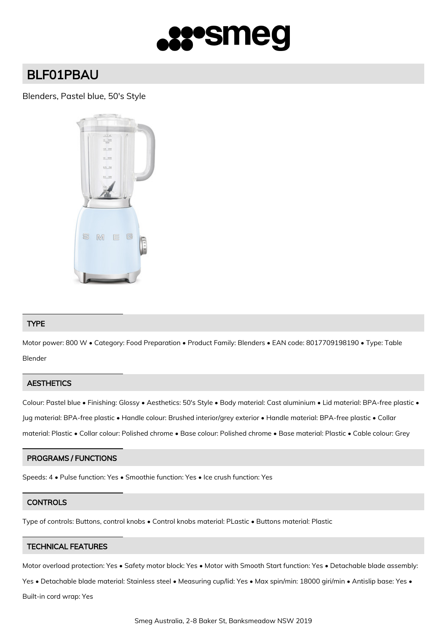

# BLF01PBAU

# Blenders, Pastel blue, 50's Style



## TYPE

Motor power: 800 W • Category: Food Preparation • Product Family: Blenders • EAN code: 8017709198190 • Type: Table Blender

#### **AESTHETICS**

Colour: Pastel blue • Finishing: Glossy • Aesthetics: 50's Style • Body material: Cast aluminium • Lid material: BPA-free plastic • Jug material: BPA-free plastic • Handle colour: Brushed interior/grey exterior • Handle material: BPA-free plastic • Collar material: Plastic • Collar colour: Polished chrome • Base colour: Polished chrome • Base material: Plastic • Cable colour: Grey

#### PROGRAMS / FUNCTIONS

Speeds: 4 • Pulse function: Yes • Smoothie function: Yes • Ice crush function: Yes

#### **CONTROLS**

Type of controls: Buttons, control knobs • Control knobs material: PLastic • Buttons material: Plastic

# TECHNICAL FEATURES

Motor overload protection: Yes • Safety motor block: Yes • Motor with Smooth Start function: Yes • Detachable blade assembly:

Yes • Detachable blade material: Stainless steel • Measuring cup/lid: Yes • Max spin/min: 18000 giri/min • Antislip base: Yes •

Built-in cord wrap: Yes